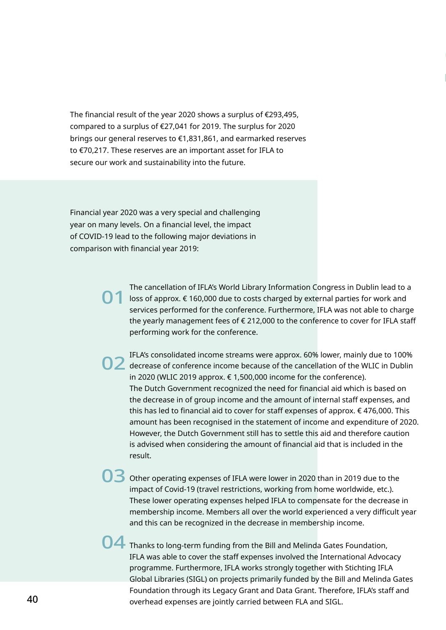The financial result of the year 2020 shows a surplus of €293,495, compared to a surplus of €27,041 for 2019. The surplus for 2020 brings our general reserves to €1,831,861, and earmarked reserves to €70,217. These reserves are an important asset for IFLA to secure our work and sustainability into the future.

Financial year 2020 was a very special and challenging year on many levels. On a financial level, the impact of COVID-19 lead to the following major deviations in comparison with financial year 2019:

> The cancellation of IFLA's World Library Information Congress in Dublin lead to a loss of approx. € 160,000 due to costs charged by external parties for work and services performed for the conference. Furthermore, IFLA was not able to charge the yearly management fees of € 212,000 to the conference to cover for IFLA staff performing work for the conference. 01

**STATEMENT.**

IFLA's consolidated income streams were approx. 60% lower, mainly due to 100% decrease of conference income because of the cancellation of the WLIC in Dublin in 2020 (WLIC 2019 approx. € 1,500,000 income for the conference). The Dutch Government recognized the need for financial aid which is based on the decrease in of group income and the amount of internal staff expenses, and this has led to financial aid to cover for staff expenses of approx. € 476,000. This amount has been recognised in the statement of income and expenditure of 2020. However, the Dutch Government still has to settle this aid and therefore caution is advised when considering the amount of financial aid that is included in the result.

O3 Other operating expenses of IFLA were lower in 2020 than in 2019 due to the impact of Covid-19 (travel restrictions, working from home worldwide, etc.). These lower operating expenses helped IFLA to compensate for the decrease in membership income. Members all over the world experienced a very difficult year and this can be recognized in the decrease in membership income.

O4 Thanks to long-term funding from the Bill and Melinda Gates Foundation, IFLA was able to cover the staff expenses involved the International Advocacy programme. Furthermore, IFLA works strongly together with Stichting IFLA Global Libraries (SIGL) on projects primarily funded by the Bill and Melinda Gates Foundation through its Legacy Grant and Data Grant. Therefore, IFLA's staff and overhead expenses are jointly carried between FLA and SIGL.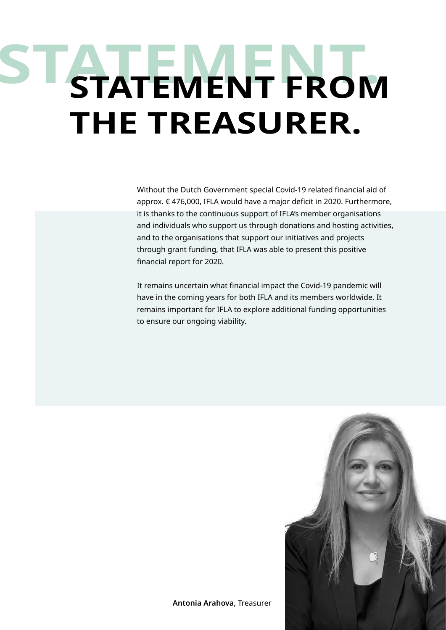## **STATEMENT. STATEMENT FROM THE TREASURER.**

Without the Dutch Government special Covid-19 related financial aid of approx. € 476,000, IFLA would have a major deficit in 2020. Furthermore, it is thanks to the continuous support of IFLA's member organisations and individuals who support us through donations and hosting activities, and to the organisations that support our initiatives and projects through grant funding, that IFLA was able to present this positive financial report for 2020.

It remains uncertain what financial impact the Covid-19 pandemic will have in the coming years for both IFLA and its members worldwide. It remains important for IFLA to explore additional funding opportunities to ensure our ongoing viability.

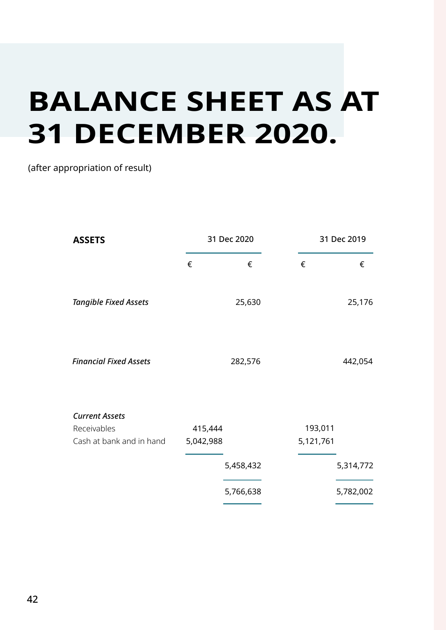## **BALANCE SHEET AS AT 31 DECEMBER 2020.**

## (after appropriation of result)

| <b>ASSETS</b>                                                    | 31 Dec 2020          |           | 31 Dec 2019          |           |
|------------------------------------------------------------------|----------------------|-----------|----------------------|-----------|
|                                                                  | €                    | €         | €                    | €         |
| <b>Tangible Fixed Assets</b>                                     |                      | 25,630    |                      | 25,176    |
| <b>Financial Fixed Assets</b>                                    |                      | 282,576   |                      | 442,054   |
| <b>Current Assets</b><br>Receivables<br>Cash at bank and in hand | 415,444<br>5,042,988 |           | 193,011<br>5,121,761 |           |
|                                                                  |                      | 5,458,432 |                      | 5,314,772 |
|                                                                  |                      | 5,766,638 |                      | 5,782,002 |
|                                                                  |                      |           |                      |           |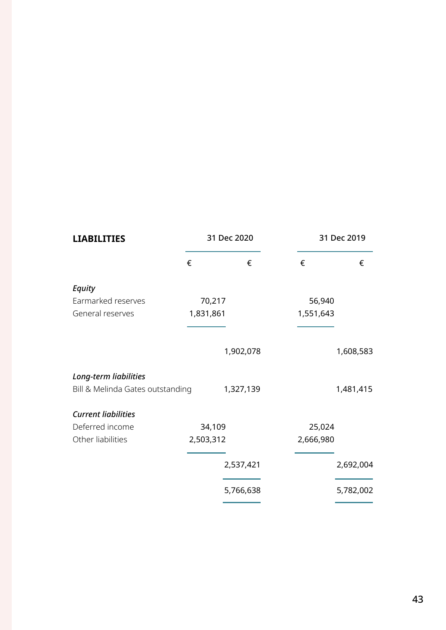| <b>LIABILITIES</b>               |           | 31 Dec 2020 |           | 31 Dec 2019 |  |
|----------------------------------|-----------|-------------|-----------|-------------|--|
|                                  | €         | €           | €         | €           |  |
| <b>Equity</b>                    |           |             |           |             |  |
| Earmarked reserves               | 70,217    |             | 56,940    |             |  |
| General reserves                 | 1,831,861 |             | 1,551,643 |             |  |
|                                  |           | 1,902,078   |           | 1,608,583   |  |
| Long-term liabilities            |           |             |           |             |  |
| Bill & Melinda Gates outstanding |           | 1,327,139   |           | 1,481,415   |  |
| <b>Current liabilities</b>       |           |             |           |             |  |
| Deferred income                  | 34,109    |             | 25,024    |             |  |
| Other liabilities                | 2,503,312 |             | 2,666,980 |             |  |
|                                  |           | 2,537,421   |           | 2,692,004   |  |
|                                  |           |             |           |             |  |
|                                  |           | 5,766,638   |           | 5,782,002   |  |
|                                  |           |             |           |             |  |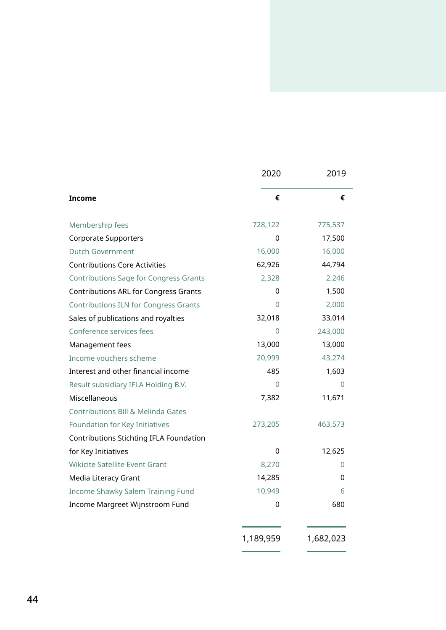|                                               | 2020      | 2019      |
|-----------------------------------------------|-----------|-----------|
| <b>Income</b>                                 | €         | €         |
| Membership fees                               | 728,122   | 775,537   |
| <b>Corporate Supporters</b>                   | 0         | 17,500    |
| <b>Dutch Government</b>                       | 16,000    | 16,000    |
| <b>Contributions Core Activities</b>          | 62,926    | 44,794    |
| <b>Contributions Sage for Congress Grants</b> | 2,328     | 2,246     |
| <b>Contributions ARL for Congress Grants</b>  | 0         | 1,500     |
| <b>Contributions ILN for Congress Grants</b>  | O         | 2,000     |
| Sales of publications and royalties           | 32,018    | 33,014    |
| Conference services fees                      | $\Omega$  | 243,000   |
| Management fees                               | 13,000    | 13,000    |
| Income vouchers scheme                        | 20,999    | 43,274    |
| Interest and other financial income           | 485       | 1,603     |
| Result subsidiary IFLA Holding B.V.           | $\Omega$  | 0         |
| Miscellaneous                                 | 7,382     | 11,671    |
| <b>Contributions Bill &amp; Melinda Gates</b> |           |           |
| Foundation for Key Initiatives                | 273,205   | 463,573   |
| Contributions Stichting IFLA Foundation       |           |           |
| for Key Initiatives                           | 0         | 12,625    |
| <b>Wikicite Satellite Event Grant</b>         | 8,270     | $\Omega$  |
| Media Literacy Grant                          | 14,285    | 0         |
| Income Shawky Salem Training Fund             | 10,949    | 6         |
| Income Margreet Wijnstroom Fund               | 0         | 680       |
|                                               | 1,189,959 | 1,682,023 |